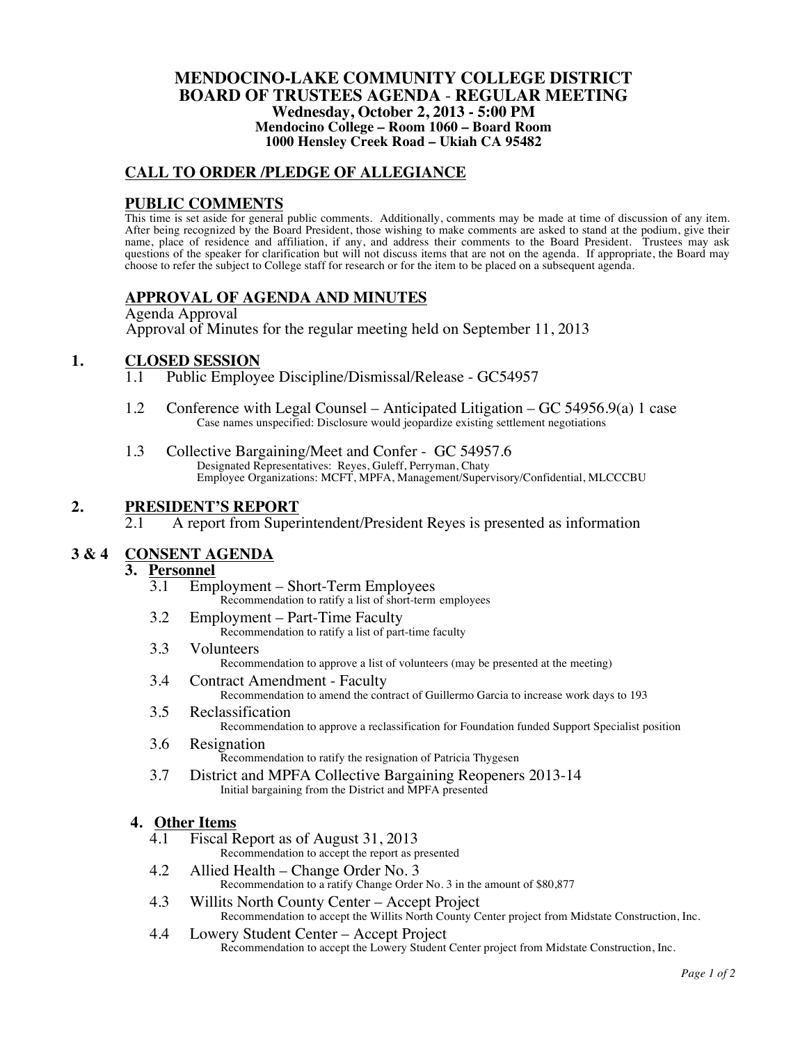#### **MENDOCINO-LAKE COMMUNITY COLLEGE DISTRICT BOARD OF TRUSTEES AGENDA** - **REGULAR MEETING Wednesday, October 2, 2013 - 5:00 PM Mendocino College – Room 1060 – Board Room 1000 Hensley Creek Road – Ukiah CA 95482**

### **CALL TO ORDER /PLEDGE OF ALLEGIANCE**

### **PUBLIC COMMENTS**

This time is set aside for general public comments. Additionally, comments may be made at time of discussion of any item. After being recognized by the Board President, those wishing to make comments are asked to stand at the podium, give their name, place of residence and affiliation, if any, and address their comments to the Board President. Trustees may ask questions of the speaker for clarification but will not discuss items that are not on the agenda. If appropriate, the Board may choose to refer the subject to College staff for research or for the item to be placed on a subsequent agenda.

## **APPROVAL OF AGENDA AND MINUTES**

Agenda Approval Approval of Minutes for the regular meeting held on September 11, 2013

# **1. CLOSED SESSION**<br>1.1 Public Employ

- Public Employee Discipline/Dismissal/Release GC54957
- 1.2 Conference with Legal Counsel Anticipated Litigation GC 54956.9(a) 1 case Case names unspecified: Disclosure would jeopardize existing settlement negotiations
- 1.3 Collective Bargaining/Meet and Confer GC 54957.6 Designated Representatives: Reyes, Guleff, Perryman, Chaty Employee Organizations: MCFT, MPFA, Management/Supervisory/Confidential, MLCCCBU

### **2. PRESIDENT'S REPORT**

2.1 A report from Superintendent/President Reyes is presented as information

## **3 & 4 CONSENT AGENDA**

# 3. **Personnel**<br> $\frac{3.1}{3.1}$  Emr

- 3.1 Employment Short-Term Employees Recommendation to ratify a list of short-term employees
- 3.2 Employment Part-Time Faculty Recommendation to ratify a list of part-time faculty
- 3.3 Volunteers Recommendation to approve a list of volunteers (may be presented at the meeting)
- 3.4 Contract Amendment Faculty Recommendation to amend the contract of Guillermo Garcia to increase work days to 193
- 3.5 Reclassification Recommendation to approve a reclassification for Foundation funded Support Specialist position
- 3.6 Resignation Recommendation to ratify the resignation of Patricia Thygesen
- 3.7 District and MPFA Collective Bargaining Reopeners 2013-14 Initial bargaining from the District and MPFA presented

# **4. Other Items**

Fiscal Report as of August 31, 2013

Recommendation to accept the report as presented

- 4.2 Allied Health Change Order No. 3 Recommendation to a ratify Change Order No. 3 in the amount of \$80,877
- 4.3 Willits North County Center Accept Project Recommendation to accept the Willits North County Center project from Midstate Construction, Inc.
- 4.4 Lowery Student Center Accept Project Recommendation to accept the Lowery Student Center project from Midstate Construction, Inc.